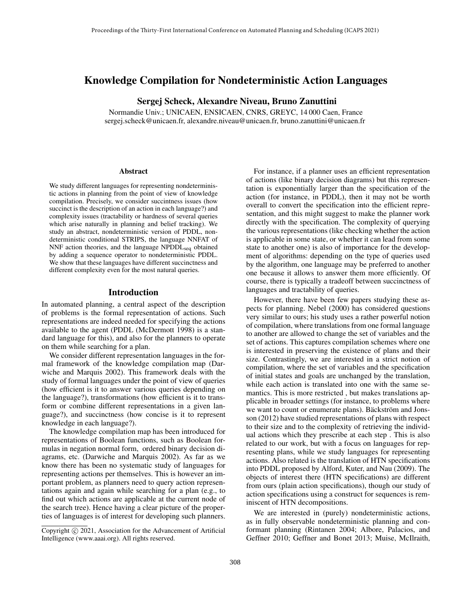# Knowledge Compilation for Nondeterministic Action Languages

Sergej Scheck, Alexandre Niveau, Bruno Zanuttini

Normandie Univ.; UNICAEN, ENSICAEN, CNRS, GREYC, 14 000 Caen, France sergej.scheck@unicaen.fr, alexandre.niveau@unicaen.fr, bruno.zanuttini@unicaen.fr

#### Abstract

We study different languages for representing nondeterministic actions in planning from the point of view of knowledge compilation. Precisely, we consider succintness issues (how succinct is the description of an action in each language?) and complexity issues (tractability or hardness of several queries which arise naturally in planning and belief tracking). We study an abstract, nondeterministic version of PDDL, nondeterministic conditional STRIPS, the language NNFAT of NNF action theories, and the language  $N\text{PDDL}_{\text{seq}}$  obtained by adding a sequence operator to nondeterministic PDDL. We show that these languages have different succinctness and different complexity even for the most natural queries.

#### Introduction

In automated planning, a central aspect of the description of problems is the formal representation of actions. Such representations are indeed needed for specifying the actions available to the agent (PDDL (McDermott 1998) is a standard language for this), and also for the planners to operate on them while searching for a plan.

We consider different representation languages in the formal framework of the knowledge compilation map (Darwiche and Marquis 2002). This framework deals with the study of formal languages under the point of view of queries (how efficient is it to answer various queries depending on the language?), transformations (how efficient is it to transform or combine different representations in a given language?), and succinctness (how concise is it to represent knowledge in each language?).

The knowledge compilation map has been introduced for representations of Boolean functions, such as Boolean formulas in negation normal form, ordered binary decision diagrams, etc. (Darwiche and Marquis 2002). As far as we know there has been no systematic study of languages for representing actions per themselves. This is however an important problem, as planners need to query action representations again and again while searching for a plan (e.g., to find out which actions are applicable at the current node of the search tree). Hence having a clear picture of the properties of languages is of interest for developing such planners.

For instance, if a planner uses an efficient representation of actions (like binary decision diagrams) but this representation is exponentially larger than the specification of the action (for instance, in PDDL), then it may not be worth overall to convert the specification into the efficient representation, and this might suggest to make the planner work directly with the specification. The complexity of querying the various representations (like checking whether the action is applicable in some state, or whether it can lead from some state to another one) is also of importance for the development of algorithms: depending on the type of queries used by the algorithm, one language may be preferred to another one because it allows to answer them more efficiently. Of course, there is typically a tradeoff between succinctness of languages and tractability of queries.

However, there have been few papers studying these aspects for planning. Nebel (2000) has considered questions very similar to ours; his study uses a rather powerful notion of compilation, where translations from one formal language to another are allowed to change the set of variables and the set of actions. This captures compilation schemes where one is interested in preserving the existence of plans and their size. Contrastingly, we are interested in a strict notion of compilation, where the set of variables and the specification of initial states and goals are unchanged by the translation, while each action is translated into one with the same semantics. This is more restricted , but makes translations applicable in broader settings (for instance, to problems where we want to count or enumerate plans). Bäckström and Jonsson (2012) have studied representations of plans with respect to their size and to the complexity of retrieving the individual actions which they prescribe at each step . This is also related to our work, but with a focus on languages for representing plans, while we study languages for representing actions. Also related is the translation of HTN specifications into PDDL proposed by Alford, Kuter, and Nau (2009). The objects of interest there (HTN specifications) are different from ours (plain action specifications), though our study of action specifications using a construct for sequences is reminiscent of HTN decompositions.

We are interested in (purely) nondeterministic actions, as in fully observable nondeterministic planning and conformant planning (Rintanen 2004; Albore, Palacios, and Geffner 2010; Geffner and Bonet 2013; Muise, McIlraith,

Copyright (c) 2021, Association for the Advancement of Artificial Intelligence (www.aaai.org). All rights reserved.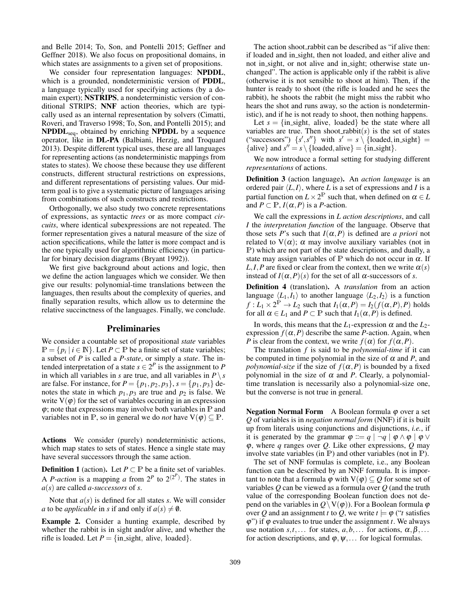and Belle 2014; To, Son, and Pontelli 2015; Geffner and Geffner 2018). We also focus on propositional domains, in which states are assignments to a given set of propositions.

We consider four representation languages: NPDDL, which is a grounded, nondeterministic version of PDDL, a language typically used for specifying actions (by a domain expert); NSTRIPS, a nondeterministic version of conditional STRIPS; NNF action theories, which are typically used as an internal representation by solvers (Cimatti, Roveri, and Traverso 1998; To, Son, and Pontelli 2015); and  $NPODL<sub>sea</sub>$ , obtained by enriching NPDDL by a sequence operator, like in DL-PA (Balbiani, Herzig, and Troquard 2013). Despite different typical uses, these are all languages for representing actions (as nondeterministic mappings from states to states). We choose these because they use different constructs, different structural restrictions on expressions, and different representations of persisting values. Our midterm goal is to give a systematic picture of languages arising from combinations of such constructs and restrictions.

Orthogonally, we also study two concrete representations of expressions, as syntactic *trees* or as more compact *circuits*, where identical subexpressions are not repeated. The former representation gives a natural measure of the size of action specifications, while the latter is more compact and is the one typically used for algorithmic efficiency (in particular for binary decision diagrams (Bryant 1992)).

We first give background about actions and logic, then we define the action languages which we consider. We then give our results: polynomial-time translations between the languages, then results about the complexity of queries, and finally separation results, which allow us to determine the relative succinctness of the languages. Finally, we conclude.

# Preliminaries

We consider a countable set of propositional *state* variables  $\mathbb{P} = \{p_i \mid i \in \mathbb{N}\}\.$  Let  $P \subset \mathbb{P}$  be a finite set of state variables; a subset of *P* is called a *P-state*, or simply a *state*. The intended interpretation of a state  $s \in 2^P$  is the assignment to P in which all variables in *s* are true, and all variables in  $P \setminus s$ are false. For instance, for  $P = \{p_1, p_2, p_3\}$ ,  $s = \{p_1, p_3\}$  denotes the state in which  $p_1$ ,  $p_3$  are true and  $p_2$  is false. We write  $V(\varphi)$  for the set of variables occuring in an expression  $\varphi$ ; note that expressions may involve both variables in  $\mathbb P$  and variables not in P, so in general we do *not* have  $V(\varphi) \subseteq P$ .

Actions We consider (purely) nondeterministic actions, which map states to sets of states. Hence a single state may have several successors through the same action.

**Definition 1** (action). Let  $P \subset \mathbb{P}$  be a finite set of variables. A *P*-action is a mapping a from  $2^P$  to  $2^{(2^P)}$ . The states in *a*(*s*) are called *a-successors* of *s*.

Note that *a*(*s*) is defined for all states *s*. We will consider *a* to be *applicable* in *s* if and only if  $a(s) \neq \emptyset$ .

Example 2. Consider a hunting example, described by whether the rabbit is in sight and/or alive, and whether the rifle is loaded. Let  $P = \{ \text{in\_sight}, \text{ alive}, \text{loaded} \}.$ 

The action shoot\_rabbit can be described as "if alive then: if loaded and in sight, then not loaded, and either alive and not in sight, or not alive and in sight; otherwise state unchanged". The action is applicable only if the rabbit is alive (otherwise it is not sensible to shoot at him). Then, if the hunter is ready to shoot (the rifle is loaded and he sees the rabbit), he shoots the rabbit (he might miss the rabbit who hears the shot and runs away, so the action is nondeterministic), and if he is not ready to shoot, then nothing happens.

Let  $s = \{ \text{in\_sight}, \text{ alive}, \text{ loaded} \}$  be the state where all variables are true. Then shoot\_rabbit $(s)$  is the set of states ("successors")  $\{s', s''\}$  with  $s' = s \setminus \{loaded, in\_sight\}$ {alive} and  $s'' = s \setminus \{ \text{loaded}, \text{alive} \} = \{ \text{in\_sight} \}.$ 

We now introduce a formal setting for studying different *representations* of actions.

Definition 3 (action language). An *action language* is an ordered pair  $\langle L, I \rangle$ , where *L* is a set of expressions and *I* is a partial function on  $L \times 2^{\mathbb{P}}$  such that, when defined on  $\alpha \in L$ and  $P \subset \mathbb{P}$ ,  $I(\alpha, P)$  is a *P*-action.

We call the expressions in *L action descriptions*, and call *I* the *interpretation function* of the language. Observe that those sets *P*'s such that  $I(\alpha, P)$  is defined are *a priori* not related to  $V(\alpha)$ ;  $\alpha$  may involve auxiliary variables (not in P) which are not part of the state descriptions, and dually, a state may assign variables of P which do not occur in  $\alpha$ . If *L*,*I*,*P* are fixed or clear from the context, then we write  $\alpha(s)$ instead of  $I(\alpha, P)(s)$  for the set of all  $\alpha$ -successors of *s*.

Definition 4 (translation). A *translation* from an action language  $\langle L_1, I_1 \rangle$  to another language  $\langle L_2, I_2 \rangle$  is a function  $f: L_1 \times 2^{\mathbb{P}} \to L_2$  such that  $I_1(\alpha, P) = I_2(f(\alpha, P), P)$  holds for all  $\alpha \in L_1$  and  $P \subset \mathbb{P}$  such that  $I_1(\alpha, P)$  is defined.

In words, this means that the  $L_1$ -expression  $\alpha$  and the  $L_2$ expression  $f(\alpha, P)$  describe the same *P*-action. Again, when *P* is clear from the context, we write  $f(\alpha)$  for  $f(\alpha, P)$ .

The translation *f* is said to be *polynomial-time* if it can be computed in time polynomial in the size of  $\alpha$  and  $P$ , and *polynomial-size* if the size of  $f(\alpha, P)$  is bounded by a fixed polynomial in the size of  $\alpha$  and P. Clearly, a polynomialtime translation is necessarily also a polynomial-size one, but the converse is not true in general.

**Negation Normal Form** A Boolean formula  $\varphi$  over a set *Q* of variables is in *negation normal form* (NNF) if it is built up from literals using conjunctions and disjunctions, *i.e.*, if it is generated by the grammar  $\varphi ::= q \mid \neg q \mid \varphi \land \varphi \mid \varphi \lor \varphi$ ϕ, where *q* ranges over *Q*. Like other expressions, *Q* may involve state variables (in P) and other variables (not in P).

The set of NNF formulas is complete, i.e., any Boolean function can be described by an NNF formula. It is important to note that a formula  $\varphi$  with  $V(\varphi) \subseteq Q$  for some set of variables *Q* can be viewed as a formula over *Q* (and the truth value of the corresponding Boolean function does not depend on the variables in  $Q \setminus V(\varphi)$ . For a Boolean formula  $\varphi$ over *Q* and an assignment *t* to *Q*, we write  $t \models \varphi$  ("*t* satisfies  $\varphi$ ") if  $\varphi$  evaluates to true under the assignment *t*. We always use notation  $s, t, \ldots$  for states,  $a, b, \ldots$  for actions,  $\alpha, \beta, \ldots$ for action descriptions, and  $\varphi, \psi, \dots$  for logical formulas.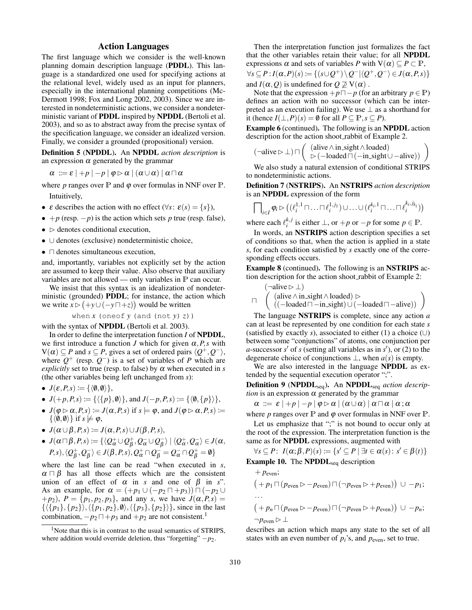# Action Languages

The first language which we consider is the well-known planning domain description language (PDDL). This language is a standardized one used for specifying actions at the relational level, widely used as an input for planners, especially in the international planning competitions (Mc-Dermott 1998; Fox and Long 2002, 2003). Since we are interested in nondeterministic actions, we consider a nondeterministic variant of PDDL inspired by NPDDL (Bertoli et al. 2003), and so as to abstract away from the precise syntax of the specification language, we consider an idealized version. Finally, we consider a grounded (propositional) version.

Definition 5 (NPDDL). An NPDDL *action description* is an expression  $\alpha$  generated by the grammar

 $\alpha ::= \varepsilon | +p |-p | \varphi \rhd \alpha | (\alpha \cup \alpha) | \alpha \sqcap \alpha$ 

where  $p$  ranges over  $\mathbb P$  and  $\varphi$  over formulas in NNF over  $\mathbb P$ . Intuitively,

- $\varepsilon$  describes the action with no effect ( $\forall s: \varepsilon(s) = \{s\}$ ),
- $+p$  (resp.  $-p$ ) is the action which sets *p* true (resp. false),
- $\bullet \; >$  denotes conditional execution,
- ∪ denotes (exclusive) nondeterministic choice,
- $\bullet$   $\Box$  denotes simultaneous execution,

and, importantly, variables not explicitly set by the action are assumed to keep their value. Also observe that auxiliary variables are not allowed — only variables in P can occur.

We insist that this syntax is an idealization of nondeterministic (grounded) PDDL; for instance, the action which we write  $\overline{x}$   $\triangleright$   $(+y \cup (-y \sqcap +z))$  would be written

when *x* (oneof *y* (and (not *y*) *z*))

with the syntax of NPDDL (Bertoli et al. 2003).

In order to define the interpretation function *I* of NPDDL, we first introduce a function *J* which for given  $\alpha$ , *P*, *s* with  $V(\alpha) \subseteq P$  and  $s \subseteq P$ , gives a set of ordered pairs  $\langle Q^+, Q^- \rangle$ , where  $Q^+$  (resp.  $Q^-$ ) is a set of variables of *P* which are *explicitly* set to true (resp. to false) by  $\alpha$  when executed in *s* (the other variables being left unchanged from *s*):

• 
$$
J(\varepsilon, P, s) \coloneqq {\langle \langle \emptyset, \emptyset \rangle \},}
$$

• 
$$
J(+p, P, s) \coloneqq \{ \langle \{p\}, \emptyset \rangle \}
$$
, and  $J(-p, P, s) \coloneqq \{ \langle \emptyset, \{p\} \rangle \}$ ,

- $J(\varphi \triangleright \alpha, P, s) := J(\alpha, P, s)$  if  $s \models \varphi$ , and  $J(\varphi \triangleright \alpha, P, s) :=$  $\{\langle \emptyset, \emptyset \rangle\}$  if  $s \not\models \varphi$ ,
- $J(\alpha \cup \beta, P, s) := J(\alpha, P, s) \cup J(\beta, P, s),$
- $\bullet$   $J(\alpha\sqcap\beta, P, s)\coloneqq \{\langle \mathcal{Q}^+_\alpha \cup \mathcal{Q}^+_\beta \rangle\}$  $\frac{1}{\beta}, Q_{\alpha}^{-} \cup Q_{\beta}^{-}$  $\langle Q^+_{\alpha},Q^-_{\alpha}\rangle \in J(\alpha,$  $(P, s)$ ,  $\langle Q_B^+$  $^+_\beta, \mathcal{Q}^-_\beta$  $\ket{\overline{\beta}} \in J(\beta, P, s), Q^+_\alpha \cap Q^-_\beta = Q^-_\alpha \cap Q^+_\beta = \emptyset\}$

where the last line can be read "when executed in *s*,  $\alpha \cap \beta$  has all those effects which are the consistent union of an effect of  $\alpha$  in *s* and one of  $\beta$  in *s*". As an example, for  $\alpha = (+p_1 \cup (-p_2 \sqcap +p_3)) \sqcap (-p_2 \cup$  $+ p_2$ ),  $P = \{p_1, p_2, p_3\}$ , and any *s*, we have  $J(\alpha, P, s) =$  $\{\langle \{p_1\}, \{p_2\} \rangle, \langle \{p_1, p_2\}, \emptyset \rangle, \langle \{p_3\}, \{p_2\} \rangle\},$  since in the last combination,  $-p_2 \Box + p_3$  and  $+p_2$  are not consistent.<sup>1</sup>

Then the interpretation function just formalizes the fact that the other variables retain their value; for all NPDDL expressions  $\alpha$  and sets of variables *P* with  $V(\alpha) \subseteq P \subset P$ ,  $\forall s \subseteq P : I(\alpha, P)(s) \coloneqq \{(s \cup Q^+) \setminus Q^- | \langle Q^+, Q^- \rangle \in J(\alpha, P, s)\}$ and *I*( $\alpha$ , $Q$ ) is undefined for  $Q \not\supseteq V(\alpha)$ .

Note that the expression  $+p\sqcap-p$  (for an arbitrary  $p \in \mathbb{P}$ ) defines an action with no successor (which can be interpreted as an execution failing). We use  $\perp$  as a shorthand for it (hence *I*(⊥,*P*)(*s*) =  $\emptyset$  for all *P* ⊆  $\mathbb{P}, s \subseteq P$ ).

Example 6 (continued). The following is an NPDDL action description for the action shoot rabbit of Example 2.

$$
(\neg alive \rhd \bot) \sqcap \left( \begin{array}{c} (alive \wedge in\_sight \wedge loaded) \\ \rhd (-loaded \sqcap (-in\_sight \cup -alive)) \end{array} \right)
$$

We also study a natural extension of conditional STRIPS to nondeterministic actions.

Definition 7 (NSTRIPS). An NSTRIPS *action description* is an NPDDL expression of the form

$$
\bigcap\nolimits_{i \in I} \varphi_i \rhd ((\ell_i^{1,1} \sqcap \ldots \sqcap \ell_i^{1,j_1}) \cup \ldots \cup (\ell_i^{k_i,1} \sqcap \ldots \sqcap \ell_i^{k_i,j_{k_i}}))
$$

where each  $\ell_i^{k, j}$  is either  $\bot$ , or  $+p$  or  $-p$  for some  $p \in \mathbb{P}$ .

In words, an NSTRIPS action description specifies a set of conditions so that, when the action is applied in a state *s*, for each condition satisfied by *s* exactly one of the corresponding effects occurs.

Example 8 (continued). The following is an NSTRIPS action description for the action shoot rabbit of Example 2:

$$
\begin{array}{l} (\neg alive \rhd \bot) \\ \sqcap \quad \left( \begin{array}{l} (alive \wedge in\_sight \wedge loaded) \rhd \\ ((-loaded \sqcap -in\_sight) \cup (-loaded \sqcap -alive)) \end{array} \right) \end{array}
$$

The language NSTRIPS is complete, since any action *a* can at least be represented by one condition for each state *s* (satisfied by exactly *s*), associated to either (1) a choice  $(\cup)$ between some "conjunctions" of atoms, one conjunction per *a*-successor  $s'$  of  $s$  (setting all variables as in  $s'$ ), or (2) to the degenerate choice of conjunctions  $\bot$ , when  $a(s)$  is empty.

We are also interested in the language NPDDL as extended by the sequential execution operator ";".

Definition 9 (NPDDL<sub>seq</sub>). An NPDDL<sub>seq</sub> action descrip*tion* is an expression  $\alpha$  generated by the grammar

$$
\alpha\ ::= \ \varepsilon\ |+p\ |\ -p\ |\ \varphi \rhd \alpha\ |\ (\alpha \cup \alpha)\ |\ \alpha \sqcap \alpha\ |\ \alpha \, ;\alpha
$$

where  $p$  ranges over  $\mathbb P$  and  $\varphi$  over formulas in NNF over  $\mathbb P$ .

Let us emphasize that ";" is not bound to occur only at the root of the expression. The interpretation function is the same as for NPDDL expressions, augmented with

$$
\forall s \subseteq P: I(\alpha; \beta, P)(s) := \{s' \subseteq P \mid \exists t \in \alpha(s): s' \in \beta(t)\}
$$
**Example 10.** The NPDDL<sub>seq</sub> description

+ 
$$
p_{even}
$$
;  
\n
$$
(+ p_1 \sqcap (p_{even} \rhd - p_{even}) \sqcap (\neg p_{even} \rhd + p_{even})) \cup -p_1;
$$
\n...  
\n
$$
(+ p_n \sqcap (p_{even} \rhd - p_{even}) \sqcap (\neg p_{even} \rhd + p_{even})) \cup -p_n;
$$
\n
$$
\neg p_{even} \rhd \bot
$$

describes an action which maps any state to the set of all states with an even number of  $p_i$ 's, and  $p_{even}$ , set to true.

<sup>&</sup>lt;sup>1</sup>Note that this is in contrast to the usual semantics of STRIPS, where addition would override deletion, thus "forgetting" −*p*2.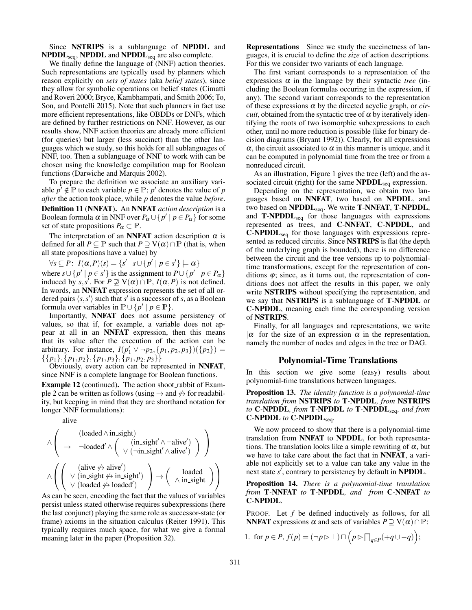Since NSTRIPS is a sublanguage of NPDDL and  $N\text{PDDL}_{seq}$ ,  $N\text{PDDL}$  and  $N\text{PDDL}_{seq}$  are also complete.

We finally define the language of (NNF) action theories. Such representations are typically used by planners which reason explicitly on *sets of states* (aka *belief states*), since they allow for symbolic operations on belief states (Cimatti and Roveri 2000; Bryce, Kambhampati, and Smith 2006; To, Son, and Pontelli 2015). Note that such planners in fact use more efficient representations, like OBDDs or DNFs, which are defined by further restrictions on NNF. However, as our results show, NNF action theories are already more efficient (for queries) but larger (less succinct) than the other languages which we study, so this holds for all sublanguages of NNF, too. Then a sublanguage of NNF to work with can be chosen using the knowledge compilation map for Boolean functions (Darwiche and Marquis 2002).

To prepare the definition we associate an auxiliary variable  $p' \notin \mathbb{P}$  to each variable  $p \in \mathbb{P}$ ;  $p'$  denotes the value of  $p$ *after* the action took place, while *p* denotes the value *before*.

Definition 11 (NNFAT). An NNFAT *action description* is a Boolean formula  $\alpha$  in NNF over  $P_{\alpha} \cup \{p' \mid p \in P_{\alpha}\}\)$  for some set of state propositions  $P_\alpha \subset \mathbb{P}$ .

The interpretation of an **NNFAT** action description  $\alpha$  is defined for all  $P \subseteq P$  such that  $P \supseteq V(\alpha) \cap P$  (that is, when all state propositions have a value) by

 $\forall s \subseteq P$ :  $I(\alpha, P)(s) = \{s' \mid s \cup \{p' \mid p \in s'\} \models \alpha\}$ where  $s \cup \{p' \mid p \in s'\}$  is the assignment to  $P \cup \{p' \mid p \in P_\alpha\}$ induced by  $s, s'$ . For  $P \not\supseteq V(\alpha) \cap \mathbb{P}$ ,  $I(\alpha, P)$  is not defined. In words, an NNFAT expression represents the set of all ordered pairs  $\langle s, s' \rangle$  such that *s'* is a successor of *s*, as a Boolean formula over variables in  $\mathbb{P} \cup \{p' \mid p \in \mathbb{P}\}.$ 

Importantly, NNFAT does not assume persistency of values, so that if, for example, a variable does not appear at all in an NNFAT expression, then this means that its value after the execution of the action can be arbitrary. For instance,  $I(p'_1 \vee \neg p_2, \{p_1, p_2, p_3\}) (\{p_2\}) =$ {{*p*1},{*p*1, *p*2},{*p*1, *p*3},{*p*1, *p*2, *p*3}}

Obviously, every action can be represented in NNFAT, since NNF is a complete language for Boolean functions.

Example 12 (continued). The action shoot\_rabbit of Example 2 can be written as follows (using  $\rightarrow$  and  $\not{\leftrightarrow}$  for readability, but keeping in mind that they are shorthand notation for longer NNF formulations):

alive

$$
\wedge\left(\begin{array}{c}(\text{loaded}\wedge\text{in\_sight})\\ \to & \neg \text{loaded}' \wedge\left(\begin{array}{c}(\text{in\_sight}' \wedge \neg \text{alive}')\\ \vee\,(\neg \text{in\_sight}' \wedge \text{alive}')\end{array}\right)\end{array}\right)\\ \wedge\left(\left(\begin{array}{c}(\text{alive}\not\leftrightarrow\text{alive}')\\ \vee\,(\text{in\_sight}\not\leftrightarrow\text{in\_sight}')\end{array}\right)\to\left(\begin{array}{c}\text{loaded}\\ \wedge\text{in\_sight}\end{array}\right)\right)
$$

As can be seen, encoding the fact that the values of variables persist unless stated otherwise requires subexpressions (here the last conjunct) playing the same role as successor-state (or frame) axioms in the situation calculus (Reiter 1991). This typically requires much space, for what we give a formal meaning later in the paper (Proposition 32).

Representations Since we study the succinctness of languages, it is crucial to define the *size* of action descriptions. For this we consider two variants of each language.

The first variant corresponds to a representation of the expressions  $\alpha$  in the language by their syntactic *tree* (including the Boolean formulas occuring in the expression, if any). The second variant corresponds to the representation of these expressions  $\alpha$  by the directed acyclic graph, or *circuit*, obtained from the syntactic tree of  $\alpha$  by iteratively identifying the roots of two isomorphic subexpressions to each other, until no more reduction is possible (like for binary decision diagrams (Bryant 1992)). Clearly, for all expressions  $\alpha$ , the circuit associated to  $\alpha$  in this manner is unique, and it can be computed in polynomial time from the tree or from a nonreduced circuit.

As an illustration, Figure 1 gives the tree (left) and the associated circuit (right) for the same  $\mathbf{NPODL}_{seq}$  expression.

Depending on the representation, we obtain two languages based on NNFAT, two based on NPDDL, and two based on NPDDL<sub>seq</sub>. We write T-NNFAT, T-NPDDL, and  $T-NPDDL<sub>seq</sub>$  for those languages with expressions represented as trees, and C-NNFAT, C-NPDDL, and  $C\text{-}\text{NPODL}_{\text{seq}}$  for those languages with expressions represented as reduced circuits. Since NSTRIPS is flat (the depth of the underlying graph is bounded), there is no difference between the circuit and the tree versions up to polynomialtime transformations, except for the representation of conditions  $\varphi$ ; since, as it turns out, the representation of conditions does not affect the results in this paper, we only write **NSTRIPS** without specifying the representation, and we say that NSTRIPS is a sublanguage of T-NPDDL or C-NPDDL, meaning each time the corresponding version of NSTRIPS.

Finally, for all languages and representations, we write | $\alpha$ | for the size of an expression  $\alpha$  in the representation, namely the number of nodes and edges in the tree or DAG.

#### Polynomial-Time Translations

In this section we give some (easy) results about polynomial-time translations between languages.

Proposition 13. *The identity function is a polynomial-time translation from* NSTRIPS *to* T*-*NPDDL*, from* NSTRIPS *to* C*-*NPDDL*, from* T*-*NPDDL *to* T*-*NPDDLseq*, and from* C*-*NPDDL *to* C*-*NPDDLseq*.*

We now proceed to show that there is a polynomial-time translation from NNFAT to NPDDL, for both representations. The translation looks like a simple rewriting of  $\alpha$ , but we have to take care about the fact that in NNFAT, a variable not explicitly set to a value can take any value in the next state  $s'$ , contrary to persistency by default in **NPDDL**.

Proposition 14. *There is a polynomial-time translation from* T*-*NNFAT *to* T*-*NPDDL*, and from* C*-*NNFAT *to* C*-*NPDDL*.*

PROOF. Let *f* be defined inductively as follows, for all **NNFAT** expressions  $\alpha$  and sets of variables  $P \supset V(\alpha) \cap P$ :

1. for 
$$
p \in P
$$
,  $f(p) = (\neg p \triangleright \bot) \sqcap \left(p \triangleright \prod_{q \in P} (+q \cup -q)\right);$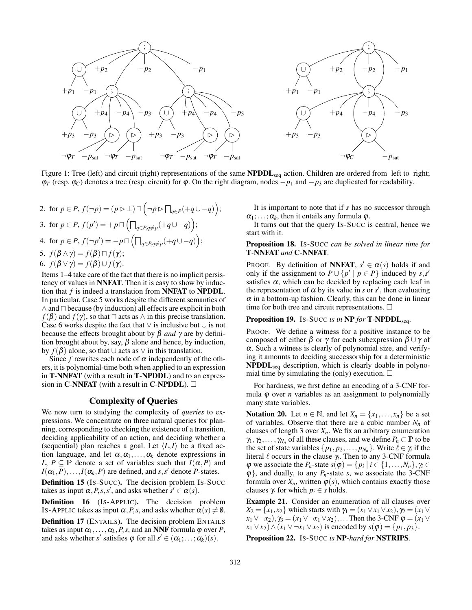

Figure 1: Tree (left) and circuit (right) representations of the same NPDDL<sub>seq</sub> action. Children are ordered from left to right;  $\varphi_T$  (resp.  $\varphi_C$ ) denotes a tree (resp. circuit) for  $\varphi$ . On the right diagram, nodes  $-p_1$  and  $-p_3$  are duplicated for readability.

2. for 
$$
p \in P
$$
,  $f(\neg p) = (p \triangleright \bot) \sqcap (\neg p \triangleright \prod_{q \in P} (+q \cup -q))$ ;  
\n3. for  $p \in P$ ,  $f(p') = +p \sqcap (\prod_{q \in P, q \neq p} (+q \cup -q))$ ;  
\n4. for  $p \in P$ ,  $f(\neg p') = -p \sqcap (\prod_{q \in P, q \neq p} (+q \cup -q))$ ;  
\n5.  $f(\beta \wedge \gamma) = f(\beta) \sqcap f(\gamma)$ ;  
\n6.  $f(\beta \vee \gamma) = f(\beta) \cup f(\gamma)$ .

Items 1–4 take care of the fact that there is no implicit persistency of values in NNFAT. Then it is easy to show by induction that *f* is indeed a translation from NNFAT to NPDDL. In particular, Case 5 works despite the different semantics of  $\wedge$  and  $\Box$  because (by induction) all effects are explicit in both  $f(\beta)$  and  $f(\gamma)$ , so that  $\Box$  acts as  $\land$  in this precise translation. Case 6 works despite the fact that  $\vee$  is inclusive but  $\cup$  is not because the effects brought about by β *and* γ are by definition brought about by, say,  $\beta$  alone and hence, by induction, by  $f(\beta)$  alone, so that ∪ acts as  $\vee$  in this translation.

Since  $f$  rewrites each node of  $\alpha$  independently of the others, it is polynomial-time both when applied to an expression in T-NNFAT (with a result in T-NPDDL) and to an expression in C-NNFAT (with a result in C-NPDDL).  $\square$ 

# Complexity of Queries

We now turn to studying the complexity of *queries* to expressions. We concentrate on three natural queries for planning, corresponding to checking the existence of a transition, deciding applicability of an action, and deciding whether a (sequential) plan reaches a goal. Let  $\langle L, I \rangle$  be a fixed action language, and let  $\alpha, \alpha_1, \ldots, \alpha_k$  denote expressions in *L*,  $P \subseteq P$  denote a set of variables such that  $I(\alpha, P)$  and  $I(\alpha_1, P), \ldots, I(\alpha_k, P)$  are defined, and *s*, *s*' denote *P*-states.

Definition 15 (IS-SUCC). The decision problem IS-SUCC takes as input  $\alpha$ , *P*, *s*, *s*<sup>'</sup>, and asks whether  $s' \in \alpha(s)$ .

Definition 16 (IS-APPLIC). The decision problem IS-APPLIC takes as input  $\alpha$ , *P*, *s*, and asks whether  $\alpha$  (*s*)  $\neq$  **0**.

Definition 17 (ENTAILS). The decision problem ENTAILS takes as input  $\alpha_1, \ldots, \alpha_k, P, s$ , and an **NNF** formula  $\varphi$  over *P*, and asks whether *s'* satisfies  $\varphi$  for all  $s' \in (\alpha_1; \dots; \alpha_k)(s)$ .

It is important to note that if *s* has no successor through  $\alpha_1; \ldots; \alpha_k$ , then it entails any formula  $\varphi$ .

It turns out that the query IS-SUCC is central, hence we start with it.

## Proposition 18. IS-SUCC *can be solved in linear time for* T*-*NNFAT *and* C*-*NNFAT*.*

PROOF. By definition of **NNFAT**,  $s' \in \alpha(s)$  holds if and only if the assignment to  $P \cup \{p' \mid p \in P\}$  induced by *s*,*s'* satisfies  $\alpha$ , which can be decided by replacing each leaf in the representation of  $\alpha$  by its value in *s* or *s'*, then evaluating  $\alpha$  in a bottom-up fashion. Clearly, this can be done in linear time for both tree and circuit representations.  $\Box$ 

## Proposition 19. Is-SUCC *is in* NP *for* T-NPDDL<sub>seq</sub>.

PROOF. We define a witness for a positive instance to be composed of either  $\beta$  or  $\gamma$  for each subexpression  $\beta \cup \gamma$  of  $\alpha$ . Such a witness is clearly of polynomial size, and verifying it amounts to deciding successorship for a deterministic NPDDL<sub>seq</sub> description, which is clearly doable in polynomial time by simulating the (only) execution.  $\square$ 

For hardness, we first define an encoding of a 3-CNF formula  $\varphi$  over *n* variables as an assignment to polynomially many state variables.

Notation 20. Let  $n \in \mathbb{N}$ , and let  $X_n = \{x_1, \ldots, x_n\}$  be a set of variables. Observe that there are a cubic number *N<sup>n</sup>* of clauses of length 3 over *Xn*. We fix an arbitrary enumeration  $\gamma_1, \gamma_2, \ldots, \gamma_{N_n}$  of all these clauses, and we define  $P_n \subset \mathbb{P}$  to be the set of state variables  $\{p_1, p_2, \ldots, p_{N_n}\}$ . Write  $\ell \in \gamma_i$  if the literal  $\ell$  occurs in the clause  $\gamma_i$ . Then to any 3-CNF formula  $\varphi$  we associate the *P<sub>n</sub>*-state  $s(\varphi) = \{p_i \mid i \in \{1, ..., N_n\}, \gamma_i \in$  $\varphi$ , and dually, to any  $P_n$ -state *s*, we associate the 3-CNF formula over  $X_n$ , written  $\varphi(s)$ , which contains exactly those clauses  $\gamma$ *i* for which  $p_i \in s$  holds.

Example 21. Consider an enumeration of all clauses over  $X_2 = \{x_1, x_2\}$  which starts with  $\gamma_1 = (x_1 \vee x_1 \vee x_2), \gamma_2 = (x_1 \vee x_2)$  $x_1 \vee \neg x_2$ ),  $\gamma_3 = (x_1 \vee \neg x_1 \vee x_2)$ ,... Then the 3-CNF  $\varphi = (x_1 \vee \neg x_2)$ *x*<sub>1</sub> ∨ *x*<sub>2</sub>) ∧ (*x*<sub>1</sub> ∨ ¬*x*<sub>1</sub> ∨ *x*<sub>2</sub>) is encoded by *s*( $\varphi$ ) = {*p*<sub>1</sub>, *p*<sub>3</sub>}.

Proposition 22. IS-SUCC *is* NP*-hard for* NSTRIPS*.*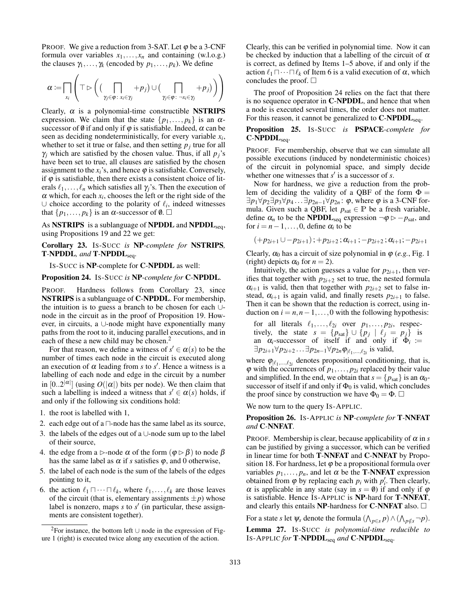PROOF. We give a reduction from 3-SAT. Let  $\varphi$  be a 3-CNF formula over variables  $x_1, \ldots, x_n$  and containing (w.l.o.g.) the clauses  $\gamma_1, \ldots, \gamma_k$  (encoded by  $p_1, \ldots, p_k$ ). We define

$$
\alpha := \prod_{x_i} \left( \top \rhd \left( \left( \bigcap_{\gamma_j \in \varphi \colon x_i \in \gamma_j} + p_j \right) \cup \left( \bigcap_{\gamma_j \in \varphi \colon \neg x_i \in \gamma_j} + p_j \right) \right) \right)
$$

Clearly,  $\alpha$  is a polynomial-time constructible **NSTRIPS** expression. We claim that the state  $\{p_1, \ldots, p_k\}$  is an  $\alpha$ successor of  $\emptyset$  if and only if  $\varphi$  is satisfiable. Indeed,  $\alpha$  can be seen as deciding nondeterministically, for every variable *x<sup>i</sup>* , whether to set it true or false, and then setting  $p_j$  true for all  $\gamma$ *j* which are satisfied by the chosen value. Thus, if all  $p_j$ 's have been set to true, all clauses are satisfied by the chosen assignment to the  $x_i$ 's, and hence  $\varphi$  is satisfiable. Conversely, if  $\varphi$  is satisfiable, then there exists a consistent choice of literals  $\ell_1, \ldots, \ell_n$  which satisfies all  $\gamma_i$ 's. Then the execution of  $\alpha$  which, for each  $x_i$ , chooses the left or the right side of the ∪ choice according to the polarity of  $\ell_i$ , indeed witnesses that  $\{p_1, \ldots, p_k\}$  is an  $\alpha$ -successor of  $\emptyset$ .

As NSTRIPS is a sublanguage of NPDDL and NPDDL<sub>seq</sub>, using Propositions 19 and 22 we get:

Corollary 23. IS-SUCC *is* NP*-complete for* NSTRIPS*,* T*-*NPDDL*, and* T*-*NPDDLseq*.*

IS-SUCC is NP-complete for C-NPDDL as well:

Proposition 24. IS-SUCC *is* NP*-complete for* C*-*NPDDL*.*

PROOF. Hardness follows from Corollary 23, since NSTRIPS is a sublanguage of C-NPDDL. For membership, the intuition is to guess a branch to be chosen for each ∪ node in the circuit as in the proof of Proposition 19. However, in circuits, a ∪-node might have exponentially many paths from the root to it, inducing parallel executions, and in each of these a new child may be chosen.<sup>2</sup>

For that reason, we define a witness of  $s' \in \alpha(s)$  to be the number of times each node in the circuit is executed along an execution of  $\alpha$  leading from *s* to  $s'$ . Hence a witness is a labelling of each node and edge in the circuit by a number in  $[0..2^{|\alpha|}]$  (using  $O(|\alpha|)$  bits per node). We then claim that such a labelling is indeed a witness that  $s' \in \alpha(s)$  holds, if and only if the following six conditions hold:

1. the root is labelled with 1,

- 2. each edge out of a  $\Box$ -node has the same label as its source,
- 3. the labels of the edges out of a ∪-node sum up to the label of their source,
- 4. the edge from a  $\triangleright$ -node  $\alpha$  of the form  $(\varphi \triangleright \beta)$  to node  $\beta$ has the same label as  $\alpha$  if *s* satisfies  $\varphi$ , and 0 otherwise,
- 5. the label of each node is the sum of the labels of the edges pointing to it,
- 6. the action  $\ell_1 \sqcap \cdots \sqcap \ell_k$ , where  $\ell_1, \ldots, \ell_k$  are those leaves of the circuit (that is, elementary assignments  $\pm p$ ) whose label is nonzero, maps  $s$  to  $s'$  (in particular, these assignments are consistent together).

Clearly, this can be verified in polynomial time. Now it can be checked by induction that a labelling of the circuit of  $\alpha$ is correct, as defined by Items 1–5 above, if and only if the action  $\ell_1 \sqcap \cdots \sqcap \ell_k$  of Item 6 is a valid execution of  $\alpha$ , which concludes the proof.  $\square$ 

The proof of Proposition 24 relies on the fact that there is no sequence operator in C-NPDDL, and hence that when a node is executed several times, the order does not matter. For this reason, it cannot be generalized to  $C\text{-}\text{NPODL}_{seq}$ .

Proposition 25. IS-SUCC *is* PSPACE*-complete for* C*-*NPDDLseq*.*

PROOF. For membership, observe that we can simulate all possible executions (induced by nondeterministic choices) of the circuit in polynomial space, and simply decide whether one witnesses that  $s'$  is a successor of  $s$ .

Now for hardness, we give a reduction from the problem of deciding the validity of a QBF of the form  $\Phi =$  $\exists p_1 \forall p_2 \exists p_3 \forall p_4 \dots \exists p_{2n-1} \forall p_{2n}$ :  $\varphi$ , where  $\varphi$  is a 3-CNF formula. Given such a QBF, let  $p_{sat} \in \mathbb{P}$  be a fresh variable, define  $\alpha_n$  to be the **NPDDL**<sub>seq</sub> expression  $\neg \varphi \triangleright -p_{\text{sat}}$ , and for  $i = n-1, \ldots, 0$ , define  $\alpha_i$  to be

$$
(+p_{2i+1}\cup-p_{2i+1});+p_{2i+2}\,;\alpha_{i+1}\,;-p_{2i+2}\,;\alpha_{i+1}\,;-p_{2i+1}\,
$$

Clearly,  $\alpha_0$  has a circuit of size polynomial in  $\varphi$  (*e.g.*, Fig. 1) (right) depicts  $\alpha_0$  for  $n = 2$ ).

Intuitively, the action guesses a value for  $p_{2i+1}$ , then verifies that together with  $p_{2i+2}$  set to true, the nested formula  $\alpha_{i+1}$  is valid, then that together with  $p_{2i+2}$  set to false instead,  $\alpha_{i+1}$  is again valid, and finally resets  $p_{2i+1}$  to false. Then it can be shown that the reduction is correct, using induction on  $i = n, n-1, \ldots, 0$  with the following hypothesis:

for all literals  $\ell_1, \ldots, \ell_{2i}$  over  $p_1, \ldots, p_{2i}$ , respectively, the state  $s = \{p_{\text{sat}}\} \cup \{p_j \mid \ell_j = p_j\}$  is an  $\alpha_i$ -successor of itself if and only if  $\Phi_i :=$ ∃ $p_{2i+1}$ ∀ $p_{2i+2}$ ... ∃ $p_{2n-1}$ ∀ $p_{2n}$  $\varphi_{|\ell_1,...,\ell_{2i}}$  is valid,

where  $\varphi_{|\ell_1,\ldots,\ell_{2i}}$  denotes propositional conditioning, that is,  $\varphi$  with the occurrences of  $p_1, \ldots, p_{2i}$  replaced by their value and simplified. In the end, we obtain that  $s = \{p_{\text{sat}}\}$  is an  $\alpha_0$ successor of itself if and only if  $\Phi_0$  is valid, which concludes the proof since by construction we have  $\Phi_0 = \Phi$ .  $\Box$ 

We now turn to the query IS-APPLIC.

Proposition 26. IS-APPLIC *is* NP*-complete for* T*-*NNFAT *and* C*-*NNFAT*.*

PROOF. Membership is clear, because applicability of  $\alpha$  in *s* can be justified by giving a successor, which can be verified in linear time for both T-NNFAT and C-NNFAT by Proposition 18. For hardness, let  $\varphi$  be a propositional formula over variables  $p_1, \ldots, p_n$ , and let  $\alpha$  be the **T-NNFAT** expression obtained from  $\varphi$  by replacing each  $p_i$  with  $p'_i$ . Then clearly,  $\alpha$  is applicable in any state (say in  $s = \emptyset$ ) if and only if  $\varphi$ is satisfiable. Hence IS-APPLIC is NP-hard for T-NNFAT, and clearly this entails NP-hardness for C-NNFAT also.  $\Box$ 

For a state *s* let  $\psi_s$  denote the formula  $(\bigwedge_{p \in s} p) \wedge (\bigwedge_{p \notin s} \neg p)$ . Lemma 27. IS-SUCC *is polynomial-time reducible to* IS-APPLIC *for* T*-*NPDDLseq *and* C*-*NPDDLseq*.*

<sup>2</sup>For instance, the bottom left ∪ node in the expression of Figure 1 (right) is executed twice along any execution of the action.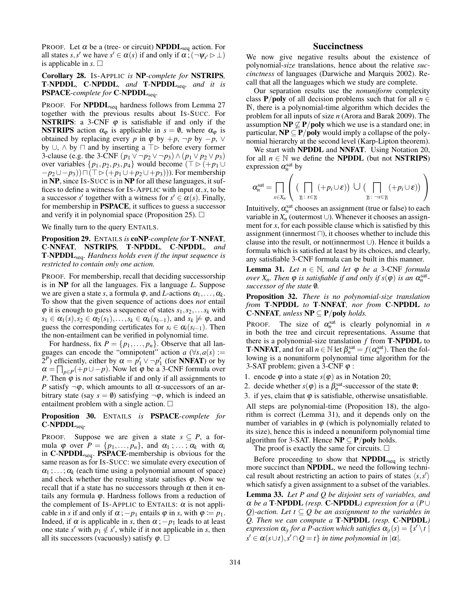PROOF. Let  $\alpha$  be a (tree- or circuit) **NPDDL**<sub>seq</sub> action. For all states *s*, *s'* we have  $s' \in \alpha(s)$  if and only if  $\alpha$ ;  $(\neg \psi_{s'} \triangleright \bot)$ is applicable in  $s$ .  $\square$ 

Corollary 28. IS-APPLIC *is* NP*-complete for* NSTRIPS*,* T*-*NPDDL*,* C*-*NPDDL*, and* T*-*NPDDLseq*, and it is* PSPACE*-complete for* C*-*NPDDLseq*.*

PROOF. For **NPDDL**<sub>seq</sub> hardness follows from Lemma 27 together with the previous results about IS-SUCC. For **NSTRIPS:** a 3-CNF  $\varphi$  is satisfiable if and only if the **NSTRIPS** action  $\alpha_{\varphi}$  is applicable in  $s = \varnothing$ , where  $\alpha_{\varphi}$  is obtained by replacing every *p* in  $\varphi$  by  $+p$ ,  $\neg p$  by  $-p$ ,  $\vee$ by ∪,  $\land$  by  $\Box$  and by inserting a  $\top \triangleright$  before every former 3-clause (e.g. the 3-CNF  $(p_1 ∨ ¬ p_2 ∨ ¬ p_3) ∧ (p_1 ∨ p_2 ∨ p_3)$ ) over variables  $\{p_1, p_2, p_3, p_4\}$  would become ( $\top \triangleright (+p_1 \cup$  $-p_2 \cup -p_3)$ )  $\sqcap (\top \rhd (+p_1 \cup +p_2 \cup +p_3))$ . For membership in NP, since IS-SUCC is in NP for all these languages, it suffices to define a witness for Is-APPLIC with input  $\alpha$ , *s*, to be a successor *s'* together with a witness for  $s' \in \alpha(s)$ . Finally, for membership in PSPACE, it suffices to guess a successor and verify it in polynomial space (Proposition 25).  $\Box$ 

We finally turn to the query ENTAILS.

Proposition 29. ENTAILS *is* coNP*-complete for* T*-*NNFAT*,* C*-*NNFAT*,* NSTRIPS*,* T*-*NPDDL*,* C*-*NPDDL*, and* T*-*NPDDLseq*. Hardness holds even if the input sequence is restricted to contain only one action.*

PROOF. For membership, recall that deciding successorship is in NP for all the languages. Fix a language *L*. Suppose we are given a state *s*, a formula  $\varphi$ , and *L*-actions  $\alpha_1, \ldots, \alpha_k$ . To show that the given sequence of actions does *not* entail  $\varphi$  it is enough to guess a sequence of states  $s_1, s_2, \ldots s_k$  with  $s_1 \in \alpha_1(s), s_2 \in \alpha_2(s_1), \ldots, s_k \in \alpha_k(s_{k-1}),$  and  $s_k \not\models \varphi$ , and guess the corresponding certificates for  $s_i \in \alpha_i(s_{i-1})$ . Then the non-entailment can be verified in polynomial time.

For hardness, fix  $P = \{p_1, \ldots, p_n\}$ . Observe that all languages can encode the "omnipotent" action  $a \, (\forall s, a(s) :=$  $(2^P)$  efficiently, either by  $\alpha = p'_1 \vee \neg p'_1$  (for **NNFAT**) or by  $\alpha = \prod_{p \in P} (+p \cup -p)$ . Now let  $\varphi$  be a 3-CNF formula over *P*. Then  $\varphi$  is *not* satisfiable if and only if all assignments to *P* satisfy  $\neg \varphi$ , which amounts to all  $\alpha$ -successors of an arbitrary state (say  $s = \emptyset$ ) satisfying  $\neg \varphi$ , which is indeed an entailment problem with a single action.  $\square$ 

Proposition 30. ENTAILS *is* PSPACE*-complete for* C*-*NPDDLseq*.*

PROOF. Suppose we are given a state  $s \subseteq P$ , a formula  $\varphi$  over  $P = \{p_1, \ldots, p_n\}$ , and  $\alpha_1, \ldots, \alpha_k$  with  $\alpha_i$ in C-NPDDL<sub>seq</sub>. PSPACE-membership is obvious for the same reason as for IS-SUCC: we simulate every execution of  $\alpha_1$ ; ...;  $\alpha_k$  (each time using a polynomial amount of space) and check whether the resulting state satisfies  $\varphi$ . Now we recall that if a state has no successors through  $\alpha$  then it entails any formula  $\varphi$ . Hardness follows from a reduction of the complement of Is-APPLIC to ENTAILS:  $\alpha$  is not applicable in *s* if and only if  $\alpha$ ;  $-p_1$  entails  $\varphi$  in *s*, with  $\varphi := p_1$ . Indeed, if  $\alpha$  is applicable in *s*, then  $\alpha$ ; -*p*<sub>1</sub> leads to at least one state *s'* with  $p_1 \notin s'$ , while if it not applicable in *s*, then all its successors (vacuously) satisfy  $\varphi$ .  $\Box$ 

# Succinctness

We now give negative results about the existence of polynomial-*size* translations, hence about the relative *succinctness* of languages (Darwiche and Marquis 2002). Recall that all the languages which we study are complete.

Our separation results use the *nonuniform* complexity class **P/poly** of all decision problems such that for all  $n \in$ N, there is a polynomial-time algorithm which decides the problem for all inputs of size *n* (Arora and Barak 2009). The assumption  $NP \nsubseteq P/poly$  which we use is a standard one; in particular,  $NP \subseteq P/poly$  would imply a collapse of the polynomial hierarchy at the second level (Karp-Lipton theorem).

We start with **NPDDL** and **NNFAT**. Using Notation 20, for all  $n \in \mathbb{N}$  we define the **NPDDL** (but not **NSTRIPS**) expression  $\alpha_n^{\text{sat}}$  by

$$
\alpha_n^{\text{sat}} = \prod_{x \in X_n} \left( \left( \prod_{\gamma : x \in \gamma_i} (+p_i \cup \varepsilon) \right) \cup \left( \prod_{\gamma : \neg x \in \gamma_i} (+p_i \cup \varepsilon) \right) \right)
$$

Intuitively,  $\alpha_n^{\text{sat}}$  chooses an assignment (true or false) to each variable in  $X_n$  (outermost ∪). Whenever it chooses an assignment for *x*, for each possible clause which is satisfied by this assignment (innermost  $\sqcap$ ), it chooses whether to include this clause into the result, or not(innermost ∪). Hence it builds a formula which is satisfied at least by its choices, and clearly, any satisfiable 3-CNF formula can be built in this manner.

**Lemma 31.** *Let*  $n \in \mathbb{N}$ *, and let*  $\varphi$  *be a* 3-CNF *formula over*  $X_n$ *. Then*  $\varphi$  *is satisfiable if and only if*  $s(\varphi)$  *is an*  $\alpha_n^{\text{sat}}$ *successor of the state* /0*.*

Proposition 32. *There is no polynomial-size translation from* T*-*NPDDL *to* T*-*NNFAT*, nor from* C*-*NPDDL *to* C*-*NNFAT*, unless* NP ⊆ P/poly *holds.*

PROOF. The size of  $\alpha_n^{\text{sat}}$  is clearly polynomial in *n* in both the tree and circuit representations. Assume that there is a polynomial-size translation *f* from T-NPDDL to **T-NNFAT**, and for all  $n \in \mathbb{N}$  let  $\beta_n^{\text{sat}} = f(\alpha_n^{\text{sat}})$ . Then the following is a nonuniform polynomial time algorithm for the 3-SAT problem; given a 3-CNF  $\varphi$  :

1. encode  $\varphi$  into a state  $s(\varphi)$  as in Notation 20;

2. decide whether  $s(\varphi)$  is a  $\beta_n^{\text{sat}}$ -successor of the state  $\varnothing$ ;

3. if yes, claim that  $\varphi$  is satisfiable, otherwise unsatisfiable.

All steps are polynomial-time (Proposition 18), the algorithm is correct (Lemma 31), and it depends only on the number of variables in  $\varphi$  (which is polynomially related to its size), hence this is indeed a nonuniform polynomial time algorithm for 3-SAT. Hence  $NP \subseteq P/poly$  holds.

The proof is exactly the same for circuits.  $\Box$ 

Before proceeding to show that  $N\text{PDDL}_{\text{seq}}$  is strictly more succinct than NPDDL, we need the following technical result about restricting an action to pairs of states  $\langle s, s' \rangle$ which satisfy a given assignment to a subset of the variables.

Lemma 33. *Let P and Q be disjoint sets of variables, and* α *be a* T*-*NPDDL *(resp.* C*-*NPDDL*) expression for a* (*P*∪ *Q*)-action. Let  $t ⊆ Q$  be an assignment to the variables in *Q. Then we can compute a* T*-*NPDDL *(resp.* C*-*NPDDL*)*  $\alpha$  *expression*  $\alpha$ <sub>*lt*</sub> for a P-action which satisfies  $\alpha$ <sub>*lt*</sub> (*s*) = {*s'* \*t*<sup> |</sup>  $s' \in \alpha(s \cup t), s' \cap Q = t$ } *in time polynomial in*  $|\alpha|$ *.*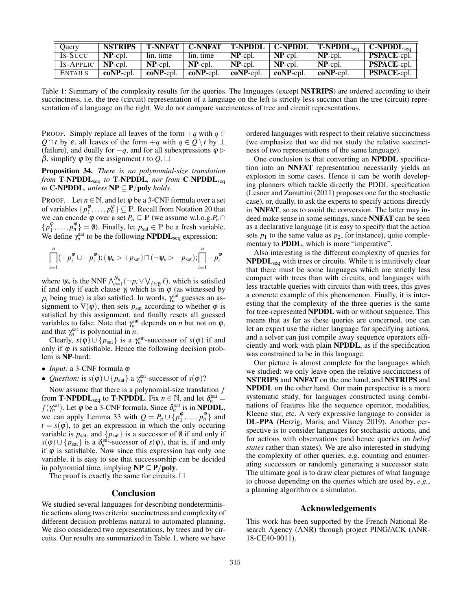| Query          | <b>NSTRIPS</b> | <b>T-NNFAT</b> | C-NNFAT     | T-NPDDL      | <b>C-NPDDL</b> | $T-NPDDLsea$ | $C\text{-}\text{NPDDL}_{\text{sea}}$ |
|----------------|----------------|----------------|-------------|--------------|----------------|--------------|--------------------------------------|
| Is-Succ        | $NP$ -cpl.     | lin. time      | lin. time   | $NP$ -cpl.   | $NP$ -cpl.     | $NP$ -cpl.   | <b>PSPACE-cpl.</b>                   |
| IS-APPLIC      | $NP$ -cpl.     | $NP$ -cpl.     | $NP$ -cpl.  | $NP$ -cpl.   | $NP$ -cpl.     | $NP$ -cpl.   | <b>PSPACE-cpl.</b>                   |
| <b>ENTAILS</b> | $coNP$ -cpl.   | $coNP$ -cpl.   | $coNP-cpl.$ | $coNP$ -cpl. | $coNP$ -cpl.   | $coNP$ -cpl. | <b>PSPACE-cpl.</b>                   |

Table 1: Summary of the complexity results for the queries. The languages (except NSTRIPS) are ordered according to their succinctness, i.e. the tree (circuit) representation of a language on the left is strictly less succinct than the tree (circuit) representation of a language on the right. We do not compare succincntess of tree and circuit representations.

PROOF. Simply replace all leaves of the form  $+q$  with  $q \in$ *Q* ∩*t* by  $\varepsilon$ , all leaves of the form  $+q$  with  $q \in Q \setminus t$  by ⊥ (failure), and dually for  $-q$ , and for all subexpressions  $\varphi$   $\triangleright$ β, simplify  $\varphi$  by the assignment *t* to Q.  $\Box$ 

Proposition 34. *There is no polynomial-size translation from* T*-*NPDDLseq *to* T*-*NPDDL*, nor from* C*-*NPDDLseq *to* **C**-NPDDL, unless  $NP \subseteq P/poly$  *holds.* 

PROOF. Let  $n \in \mathbb{N}$ , and let  $\varphi$  be a 3-CNF formula over a set of variables  $\{p_1^{\varphi}, \ldots, p_n^{\varphi}\} \subseteq \mathbb{P}$ . Recall from Notation 20 that we can encode  $\varphi$  over a set  $P_n \subseteq \mathbb{P}$  (we assume w.l.o.g. $P_n \cap$  $\{p_1^{\varphi}, \ldots, p_n^{\varphi}\} = \emptyset$ . Finally, let  $p_{\text{sat}} \in \mathbb{P}$  be a fresh variable. We define  $\gamma_n^{\text{sat}}$  to be the following **NPDDL**<sub>seq</sub> expression:

$$
\left|\bigcap_{i=1}^n (+p_i^{\varphi} \cup -p_i^{\varphi});(\psi_n \triangleright +p_{\text{sat}}) \sqcap (\neg \psi_n \triangleright -p_{\text{sat}}); \left|\bigcap_{i=1}^n -p_i^{\varphi}\right|\right|
$$

where  $\psi_n$  is the NNF  $\bigwedge_{i=1}^{N_n} (\neg p_i \vee \bigvee_{\ell \in \gamma_i} \ell)$ , which is satisfied if and only if each clause  $\gamma$ <sub>i</sub> which is in  $\varphi$  (as witnessed by  $p_i$  being true) is also satisfied. In words,  $\gamma_n^{\text{sat}}$  guesses an assignment to  $V(\varphi)$ , then sets  $p_{sat}$  according to whether  $\varphi$  is satisfied by this assignment, and finally resets all guessed variables to false. Note that  $\gamma_n^{\text{sat}}$  depends on *n* but not on  $\varphi$ , and that  $\gamma_n^{\text{sat}}$  is polynomial in *n*.

Clearly,  $s(\varphi) \cup \{p_{\text{sat}}\}$  is a  $\gamma_n^{\text{sat}}$ -successor of  $s(\varphi)$  if and only if  $\varphi$  is satisfiable. Hence the following decision problem is NP-hard:

- *Input:* a 3-CNF formula φ
- *Question:* is  $s(\varphi) \cup \{p_{\text{sat}}\}\$ a  $\gamma_n^{\text{sat}}$ -successor of  $s(\varphi)$ ?

Now assume that there is a polynomial-size translation *f* from **T-NPDDL**<sub>seq</sub> to **T-NPDDL**. Fix  $n \in \mathbb{N}$ , and let  $\delta_n^{\text{sat}} =$ *f*( $\gamma_n^{\text{sat}}$ ). Let  $\varphi$  be a 3-CNF formula. Since  $\delta_n^{\text{sat}}$  is in **NPDDL**, we can apply Lemma 33 with  $Q = P_n \cup \{p_1^{\phi}, \ldots, p_n^{\phi}\}\$  and  $t = s(\varphi)$ , to get an expression in which the only occuring variable is  $p_{\text{sat}}$ , and  $\{p_{\text{sat}}\}$  is a successor of  $\emptyset$  if and only if  $s(\varphi) \cup \{p_{\text{sat}}\}$  is a  $\delta_n^{\text{sat}}$ -sucessor of  $s(\varphi)$ , that is, if and only if  $\varphi$  is satisfiable. Now since this expression has only one variable, it is easy to see that successorship can be decided in polynomial time, implying  $NP \subseteq P/poly$ .

The proof is exactly the same for circuits.  $\Box$ 

## Conclusion

We studied several languages for describing nondeterministic actions along two criteria: succinctness and complexity of different decision problems natural to automated planning. We also considered two representations, by trees and by circuits. Our results are summarized in Table 1, where we have

ordered languages with respect to their relative succinctness (we emphasize that we did not study the relative succinctness of two representations of the same language).

One conclusion is that converting an NPDDL specification into an NNFAT representation necessarily yields an explosion in some cases. Hence it can be worth developing planners which tackle directly the PDDL specification (Lesner and Zanuttini (2011) proposes one for the stochastic case), or, dually, to ask the experts to specify actions directly in NNFAT, so as to avoid the conversion. The latter may indeed make sense in some settings, since NNFAT can be seen as a declarative language (it is easy to specify that the action sets  $p_1$  to the same value as  $p_2$ , for instance), quite complementary to **PDDL**, which is more "imperative".

Also interesting is the different complexity of queries for  $N\text{PDDL}_{\text{seq}}$  with trees or circuits. While it is intuitively clear that there must be some languages which are strictly less compact with trees than with circuits, and languages with less tractable queries with circuits than with trees, this gives a concrete example of this phenomenon. Finally, it is interesting that the complexity of the three queries is the same for tree-represented NPDDL with or without sequence. This means that as far as these queries are concerned, one can let an expert use the richer language for specifying actions, and a solver can just compile away sequence operators efficiently and work with plain NPDDL, as if the specification was constrained to be in this language.

Our picture is almost complete for the languages which we studied: we only leave open the relative succinctness of NSTRIPS and NNFAT on the one hand, and NSTRIPS and NPDDL on the other hand. Our main perspective is a more systematic study, for languages constructed using combinations of features like the sequence operator, modalities, Kleene star, etc. A very expressive language to consider is DL-PPA (Herzig, Maris, and Vianey 2019). Another perspective is to consider languages for stochastic actions, and for actions with observations (and hence queries on *belief states* rather than states). We are also interested in studying the complexity of other queries, e.g. counting and enumerating successors or randomly generating a successor state. The ultimate goal is to draw clear pictures of what language to choose depending on the queries which are used by, *e.g.*, a planning algorithm or a simulator.

# Acknowledgements

This work has been supported by the French National Research Agency (ANR) through project PING/ACK (ANR-18-CE40-0011).